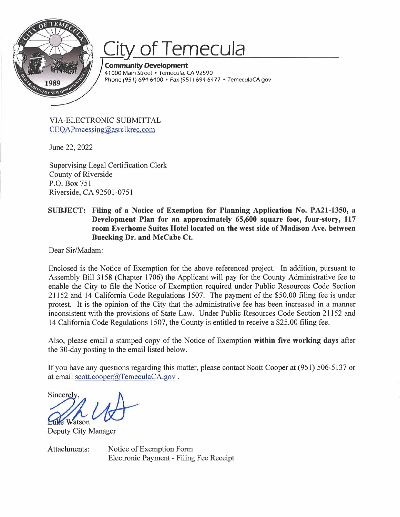

# *City* of **Temecula**

**Community Development**  41000 Main Street • Temecula, CA 92590 Phone (951) 694-6400 • Fax (951) 694-6477 • TemeculaCA.gov

VIA-ELECTRONIC SUBMITTAL CEQAProcessing@asrclkrec.com

June 22, 2022

Supervising Legal Certification Clerk County of Riverside P.O. Box 751 Riverside, CA 92501-0751

### **SUBJECT: Filing of a Notice of Exemption for Planning Application No. PA21-1350, a Development Plan for an approximately 65,600 square foot, four-story, 117 room Everhome Suites Hotel located on the west side of Madison Ave. between Buecking Dr. and McCabe Ct.**

Dear Sir/Madam:

Enclosed is the Notice of Exemption for the above referenced project. In addition, pursuant to Assembly Bill 3158 (Chapter 1706) the Applicant will pay for the County Administrative fee to enable the City to file the Notice of Exemption required under Public Resources Code Section 21152 and 14 California Code Regulations 1507. The payment of the \$50.00 filing fee is under protest. It is the opinion of the City that the administrative fee has been increased in a manner inconsistent with the provisions of State Law. Under Public Resources Code Section 21152 and 14 California Code Regulations 1507, the County is entitled to receive a \$25.00 filing fee.

Also, please email a stamped copy of the Notice of Exemption **within five working days** after the 30-day posting to the email listed below.

If you have any questions regarding this matter, please contact Scott Cooper at (951) 506-513 7 or at email scott.cooper@TemeculaCA.gov.

If you have any questions reg<br>at email <u>scott.cooper@Teme</u><br>Sincerely,<br>**Euke** Watson<br>Deputy City Manager

Deputy City Manager

Attachments: Notice of Exemption Form Electronic Payment - Filing Fee Receipt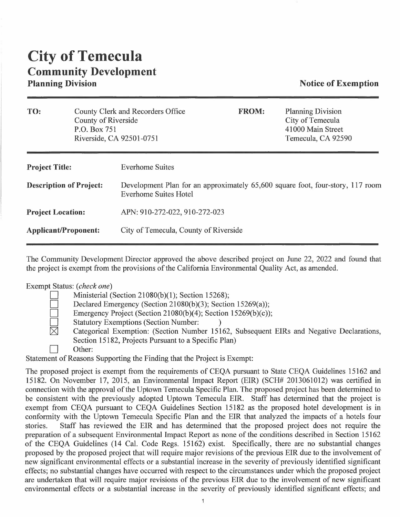## **City of Temecula Community Development**

### **Notice of Exemption**

| <b>Planning Division</b><br>County Clerk and Recorders Office<br><b>FROM:</b><br>County of Riverside<br>City of Temecula<br>41000 Main Street<br>P.O. Box 751<br>Riverside, CA 92501-0751<br>Temecula, CA 92590<br><b>Everhome Suites</b><br><b>Project Title:</b> |     |  |                                                                                |  |  |  |
|--------------------------------------------------------------------------------------------------------------------------------------------------------------------------------------------------------------------------------------------------------------------|-----|--|--------------------------------------------------------------------------------|--|--|--|
|                                                                                                                                                                                                                                                                    | TO: |  |                                                                                |  |  |  |
|                                                                                                                                                                                                                                                                    |     |  |                                                                                |  |  |  |
| <b>Description of Project:</b><br><b>Everhome Suites Hotel</b>                                                                                                                                                                                                     |     |  | Development Plan for an approximately 65,600 square foot, four-story, 117 room |  |  |  |
| APN: 910-272-022, 910-272-023<br><b>Project Location:</b>                                                                                                                                                                                                          |     |  |                                                                                |  |  |  |
| City of Temecula, County of Riverside<br><b>Applicant/Proponent:</b>                                                                                                                                                                                               |     |  |                                                                                |  |  |  |

The Community Development Director approved the above described project on June 22, 2022 and found that the project is exempt from the provisions of the California Environmental Quality Act, as amended.

#### Exempt Status: *(check one)*

- Ministerial (Section 21080(b)(1); Section 15268);
- Declared Emergency (Section 21080(b)(3); Section 15269(a));
- Emergency Project (Section 21080(b)(4); Section 15269(b)(c));
- Statutory Exemptions (Section Number:<br>  $\boxtimes$  Categorical Exemption: (Section Numb
	- Categorical Exemption: (Section Number 15162, Subsequent EIRs and Negative Declarations, Section 15182, Projects Pursuant to a Specific Plan)
	- Other:

Statement of Reasons Supporting the Finding that the Project is Exempt:

The proposed project is exempt from the requirements of CEQA pursuant to State CEQA Guidelines 15162 and 15182. On November 17, 2015, an Environmental Impact Report (EIR) (SCH# 2013061012) was certified in connection with the approval of the Uptown Temecula Specific Plan. The proposed project has been determined to be consistent with the previously adopted Uptown Temecula EIR. Staff has determined that the project is exempt from CEQA pursuant to CEQA Guidelines Section 15182 as the proposed hotel development is in conformity with the Uptown Temecula Specific Plan and the EIR that analyzed the impacts of a hotels four stories. Staff has reviewed the EIR and has determined that the proposed project does not require the preparation of a subsequent Environmental Impact Report as none of the conditions described in Section 15162 of the CEQA Guidelines (14 Cal. Code Regs. 15162) exist. Specifically, there are no substantial changes proposed by the proposed project that will require major revisions of the previous EIR due to the involvement of new significant environmental effects or a substantial increase in the severity of previously identified significant effects; no substantial changes have occurred with respect to the circumstances under which the proposed project are undertaken that will require major revisions of the previous EIR due to the involvement of new significant environmental effects or a substantial increase in the severity of previously identified significant effects; and